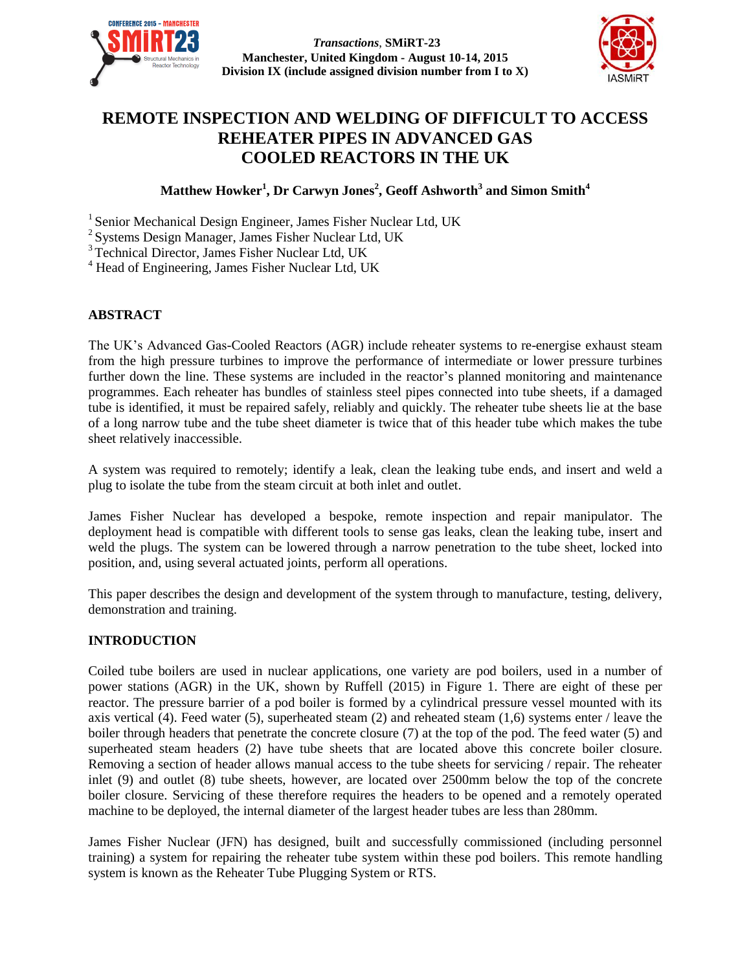

*Transactions*, **SMiRT-23 Manchester, United Kingdom - August 10-14, 2015 Division IX (include assigned division number from I to X)**



# **REMOTE INSPECTION AND WELDING OF DIFFICULT TO ACCESS REHEATER PIPES IN ADVANCED GAS COOLED REACTORS IN THE UK**

**Matthew Howker<sup>1</sup> , Dr Carwyn Jones<sup>2</sup> , Geoff Ashworth<sup>3</sup> and Simon Smith<sup>4</sup>**

<sup>1</sup> Senior Mechanical Design Engineer, James Fisher Nuclear Ltd, UK

2 Systems Design Manager, James Fisher Nuclear Ltd, UK

<sup>3</sup> Technical Director, James Fisher Nuclear Ltd, UK

<sup>4</sup> Head of Engineering, James Fisher Nuclear Ltd, UK

## **ABSTRACT**

The UK's Advanced Gas-Cooled Reactors (AGR) include reheater systems to re-energise exhaust steam from the high pressure turbines to improve the performance of intermediate or lower pressure turbines further down the line. These systems are included in the reactor's planned monitoring and maintenance programmes. Each reheater has bundles of stainless steel pipes connected into tube sheets, if a damaged tube is identified, it must be repaired safely, reliably and quickly. The reheater tube sheets lie at the base of a long narrow tube and the tube sheet diameter is twice that of this header tube which makes the tube sheet relatively inaccessible.

A system was required to remotely; identify a leak, clean the leaking tube ends, and insert and weld a plug to isolate the tube from the steam circuit at both inlet and outlet.

James Fisher Nuclear has developed a bespoke, remote inspection and repair manipulator. The deployment head is compatible with different tools to sense gas leaks, clean the leaking tube, insert and weld the plugs. The system can be lowered through a narrow penetration to the tube sheet, locked into position, and, using several actuated joints, perform all operations.

This paper describes the design and development of the system through to manufacture, testing, delivery, demonstration and training.

## **INTRODUCTION**

Coiled tube boilers are used in nuclear applications, one variety are pod boilers, used in a number of power stations (AGR) in the UK, shown by Ruffell (2015) in [Figure 1.](#page-1-0) There are eight of these per reactor. The pressure barrier of a pod boiler is formed by a cylindrical pressure vessel mounted with its axis vertical (4). Feed water (5), superheated steam (2) and reheated steam (1,6) systems enter / leave the boiler through headers that penetrate the concrete closure (7) at the top of the pod. The feed water (5) and superheated steam headers (2) have tube sheets that are located above this concrete boiler closure. Removing a section of header allows manual access to the tube sheets for servicing / repair. The reheater inlet (9) and outlet (8) tube sheets, however, are located over 2500mm below the top of the concrete boiler closure. Servicing of these therefore requires the headers to be opened and a remotely operated machine to be deployed, the internal diameter of the largest header tubes are less than 280mm.

James Fisher Nuclear (JFN) has designed, built and successfully commissioned (including personnel training) a system for repairing the reheater tube system within these pod boilers. This remote handling system is known as the Reheater Tube Plugging System or RTS.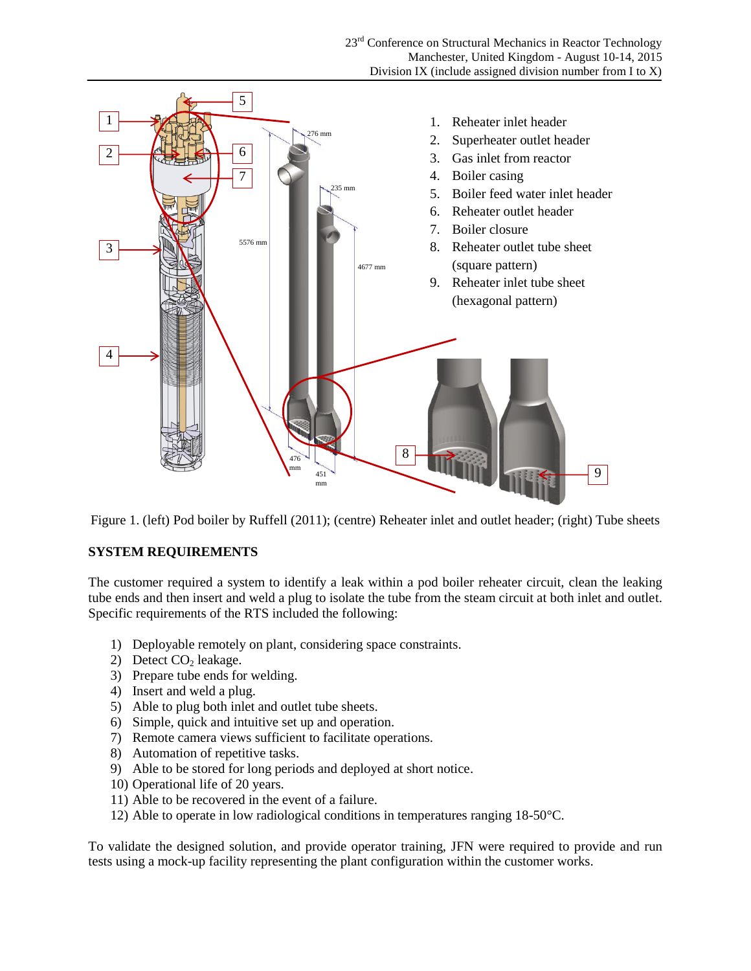

<span id="page-1-0"></span>Figure 1. (left) Pod boiler by Ruffell (2011); (centre) Reheater inlet and outlet header; (right) Tube sheets

## **SYSTEM REQUIREMENTS**

The customer required a system to identify a leak within a pod boiler reheater circuit, clean the leaking tube ends and then insert and weld a plug to isolate the tube from the steam circuit at both inlet and outlet. Specific requirements of the RTS included the following:

- 1) Deployable remotely on plant, considering space constraints.
- 2) Detect  $CO<sub>2</sub>$  leakage.
- 3) Prepare tube ends for welding.
- 4) Insert and weld a plug.
- 5) Able to plug both inlet and outlet tube sheets.
- 6) Simple, quick and intuitive set up and operation.
- 7) Remote camera views sufficient to facilitate operations.
- 8) Automation of repetitive tasks.
- 9) Able to be stored for long periods and deployed at short notice.
- 10) Operational life of 20 years.
- 11) Able to be recovered in the event of a failure.
- 12) Able to operate in low radiological conditions in temperatures ranging 18-50°C.

To validate the designed solution, and provide operator training, JFN were required to provide and run tests using a mock-up facility representing the plant configuration within the customer works.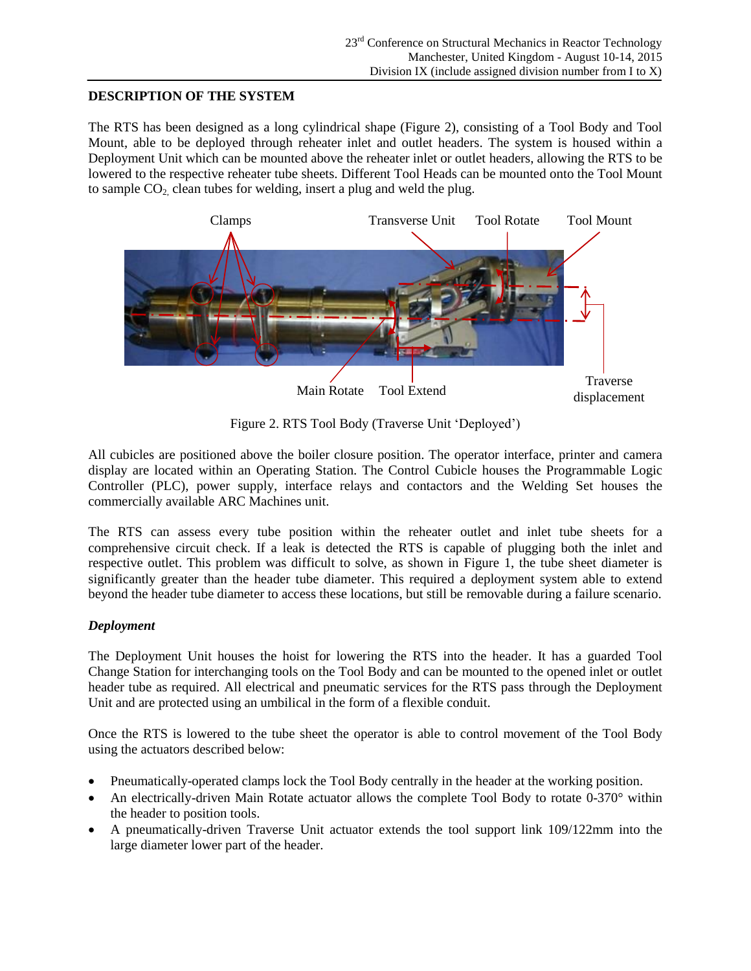## **DESCRIPTION OF THE SYSTEM**

The RTS has been designed as a long cylindrical shape (Figure 2), consisting of a Tool Body and Tool Mount, able to be deployed through reheater inlet and outlet headers. The system is housed within a Deployment Unit which can be mounted above the reheater inlet or outlet headers, allowing the RTS to be lowered to the respective reheater tube sheets. Different Tool Heads can be mounted onto the Tool Mount to sample  $CO<sub>2</sub>$  clean tubes for welding, insert a plug and weld the plug.



Figure 2. RTS Tool Body (Traverse Unit 'Deployed')

All cubicles are positioned above the boiler closure position. The operator interface, printer and camera display are located within an Operating Station. The Control Cubicle houses the Programmable Logic Controller (PLC), power supply, interface relays and contactors and the Welding Set houses the commercially available ARC Machines unit.

The RTS can assess every tube position within the reheater outlet and inlet tube sheets for a comprehensive circuit check. If a leak is detected the RTS is capable of plugging both the inlet and respective outlet. This problem was difficult to solve, as shown in [Figure 1,](#page-1-0) the tube sheet diameter is significantly greater than the header tube diameter. This required a deployment system able to extend beyond the header tube diameter to access these locations, but still be removable during a failure scenario.

# *Deployment*

The Deployment Unit houses the hoist for lowering the RTS into the header. It has a guarded Tool Change Station for interchanging tools on the Tool Body and can be mounted to the opened inlet or outlet header tube as required. All electrical and pneumatic services for the RTS pass through the Deployment Unit and are protected using an umbilical in the form of a flexible conduit.

Once the RTS is lowered to the tube sheet the operator is able to control movement of the Tool Body using the actuators described below:

- Pneumatically-operated clamps lock the Tool Body centrally in the header at the working position.
- An electrically-driven Main Rotate actuator allows the complete Tool Body to rotate 0-370° within the header to position tools.
- A pneumatically-driven Traverse Unit actuator extends the tool support link 109/122mm into the large diameter lower part of the header.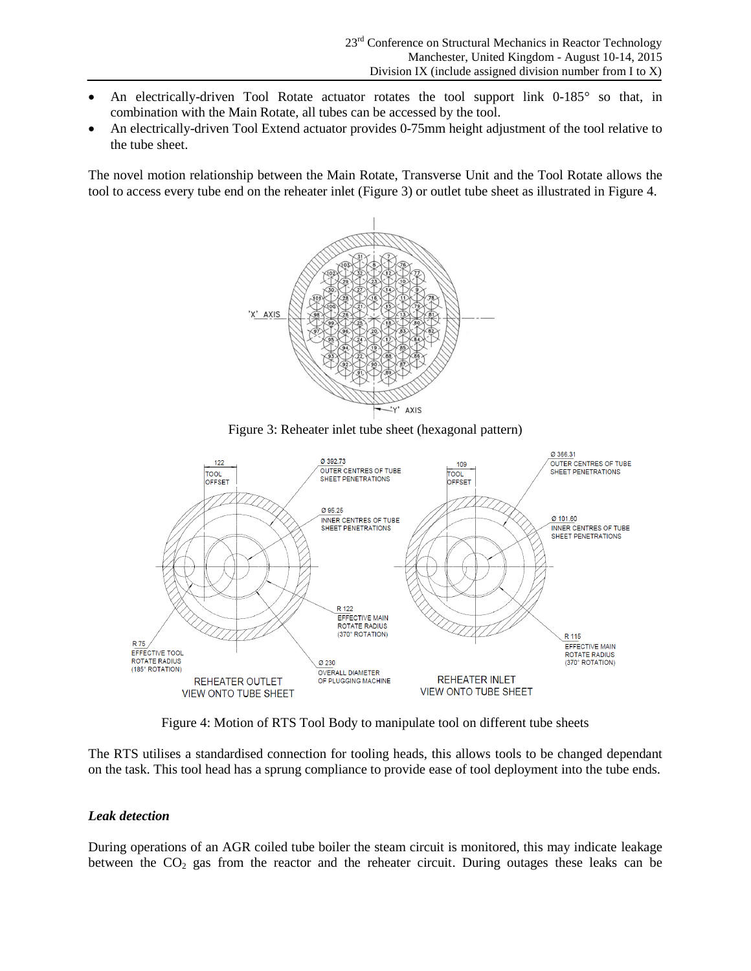- An electrically-driven Tool Rotate actuator rotates the tool support link 0-185° so that, in combination with the Main Rotate, all tubes can be accessed by the tool.
- An electrically-driven Tool Extend actuator provides 0-75mm height adjustment of the tool relative to the tube sheet.

The novel motion relationship between the Main Rotate, Transverse Unit and the Tool Rotate allows the tool to access every tube end on the reheater inlet [\(Figure 3\)](#page-3-0) or outlet tube sheet as illustrated i[n Figure 4.](#page-3-1)



Figure 3: Reheater inlet tube sheet (hexagonal pattern)

<span id="page-3-0"></span>

Figure 4: Motion of RTS Tool Body to manipulate tool on different tube sheets

<span id="page-3-1"></span>The RTS utilises a standardised connection for tooling heads, this allows tools to be changed dependant on the task. This tool head has a sprung compliance to provide ease of tool deployment into the tube ends.

## *Leak detection*

During operations of an AGR coiled tube boiler the steam circuit is monitored, this may indicate leakage between the  $CO<sub>2</sub>$  gas from the reactor and the reheater circuit. During outages these leaks can be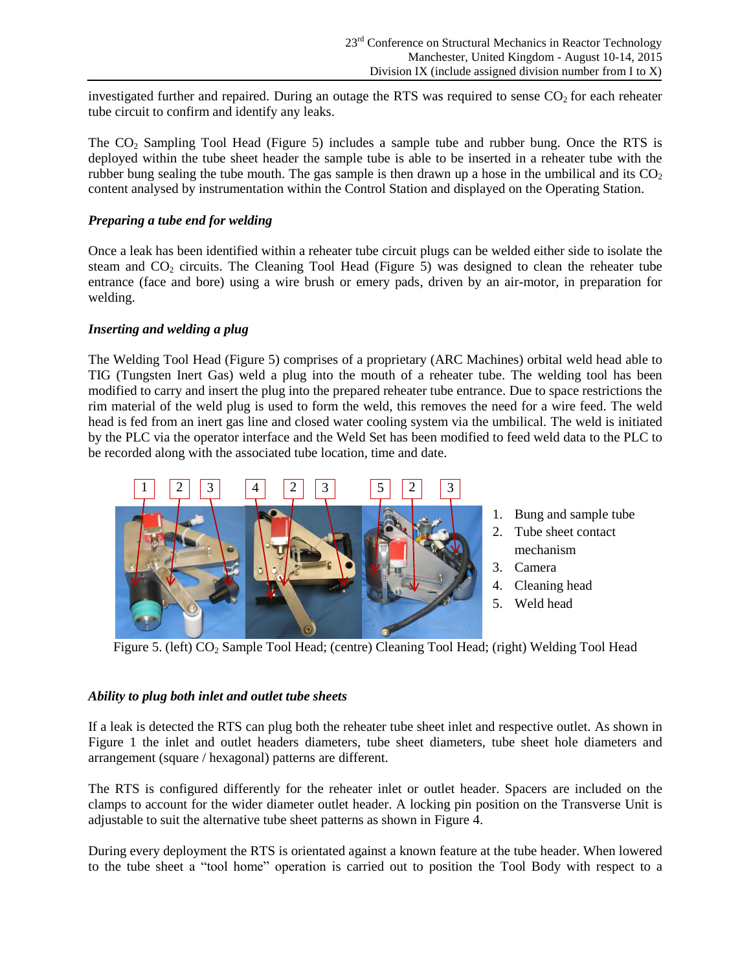investigated further and repaired. During an outage the RTS was required to sense  $CO<sub>2</sub>$  for each reheater tube circuit to confirm and identify any leaks.

The CO<sub>2</sub> Sampling Tool Head [\(Figure 5\)](#page-4-0) includes a sample tube and rubber bung. Once the RTS is deployed within the tube sheet header the sample tube is able to be inserted in a reheater tube with the rubber bung sealing the tube mouth. The gas sample is then drawn up a hose in the umbilical and its  $CO<sub>2</sub>$ content analysed by instrumentation within the Control Station and displayed on the Operating Station.

## *Preparing a tube end for welding*

Once a leak has been identified within a reheater tube circuit plugs can be welded either side to isolate the steam and  $CO<sub>2</sub>$  circuits. The Cleaning Tool Head [\(Figure 5\)](#page-4-0) was designed to clean the reheater tube entrance (face and bore) using a wire brush or emery pads, driven by an air-motor, in preparation for welding.

## *Inserting and welding a plug*

The Welding Tool Head [\(Figure 5\)](#page-4-0) comprises of a proprietary (ARC Machines) orbital weld head able to TIG (Tungsten Inert Gas) weld a plug into the mouth of a reheater tube. The welding tool has been modified to carry and insert the plug into the prepared reheater tube entrance. Due to space restrictions the rim material of the weld plug is used to form the weld, this removes the need for a wire feed. The weld head is fed from an inert gas line and closed water cooling system via the umbilical. The weld is initiated by the PLC via the operator interface and the Weld Set has been modified to feed weld data to the PLC to be recorded along with the associated tube location, time and date.



1. Bung and sample tube

- 2. Tube sheet contact mechanism
- 3. Camera
- 4. Cleaning head
- 5. Weld head

<span id="page-4-0"></span>Figure 5. (left) CO<sub>2</sub> Sample Tool Head; (centre) Cleaning Tool Head; (right) Welding Tool Head

## *Ability to plug both inlet and outlet tube sheets*

If a leak is detected the RTS can plug both the reheater tube sheet inlet and respective outlet. As shown in [Figure 1](#page-1-0) the inlet and outlet headers diameters, tube sheet diameters, tube sheet hole diameters and arrangement (square / hexagonal) patterns are different.

The RTS is configured differently for the reheater inlet or outlet header. Spacers are included on the clamps to account for the wider diameter outlet header. A locking pin position on the Transverse Unit is adjustable to suit the alternative tube sheet patterns as shown in [Figure 4.](#page-3-1)

During every deployment the RTS is orientated against a known feature at the tube header. When lowered to the tube sheet a "tool home" operation is carried out to position the Tool Body with respect to a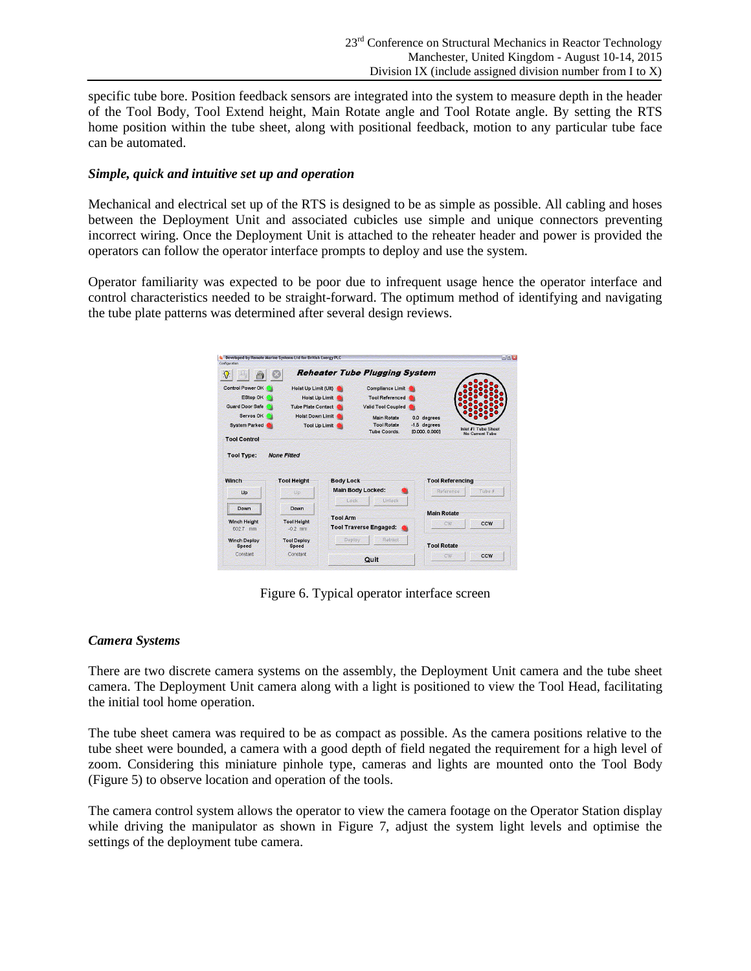specific tube bore. Position feedback sensors are integrated into the system to measure depth in the header of the Tool Body, Tool Extend height, Main Rotate angle and Tool Rotate angle. By setting the RTS home position within the tube sheet, along with positional feedback, motion to any particular tube face can be automated.

#### *Simple, quick and intuitive set up and operation*

Mechanical and electrical set up of the RTS is designed to be as simple as possible. All cabling and hoses between the Deployment Unit and associated cubicles use simple and unique connectors preventing incorrect wiring. Once the Deployment Unit is attached to the reheater header and power is provided the operators can follow the operator interface prompts to deploy and use the system.

Operator familiarity was expected to be poor due to infrequent usage hence the operator interface and control characteristics needed to be straight-forward. The optimum method of identifying and navigating the tube plate patterns was determined after several design reviews.

| Inlet #1 Tube Sheet     |
|-------------------------|
| <b>No Current Tube</b>  |
|                         |
| <b>Tool Referencing</b> |
| Tube #                  |
|                         |
|                         |
| CCW                     |
|                         |
|                         |
|                         |

Figure 6. Typical operator interface screen

## *Camera Systems*

There are two discrete camera systems on the assembly, the Deployment Unit camera and the tube sheet camera. The Deployment Unit camera along with a light is positioned to view the Tool Head, facilitating the initial tool home operation.

The tube sheet camera was required to be as compact as possible. As the camera positions relative to the tube sheet were bounded, a camera with a good depth of field negated the requirement for a high level of zoom. Considering this miniature pinhole type, cameras and lights are mounted onto the Tool Body [\(Figure 5\)](#page-4-0) to observe location and operation of the tools.

The camera control system allows the operator to view the camera footage on the Operator Station display while driving the manipulator as shown in [Figure 7,](#page-6-0) adjust the system light levels and optimise the settings of the deployment tube camera.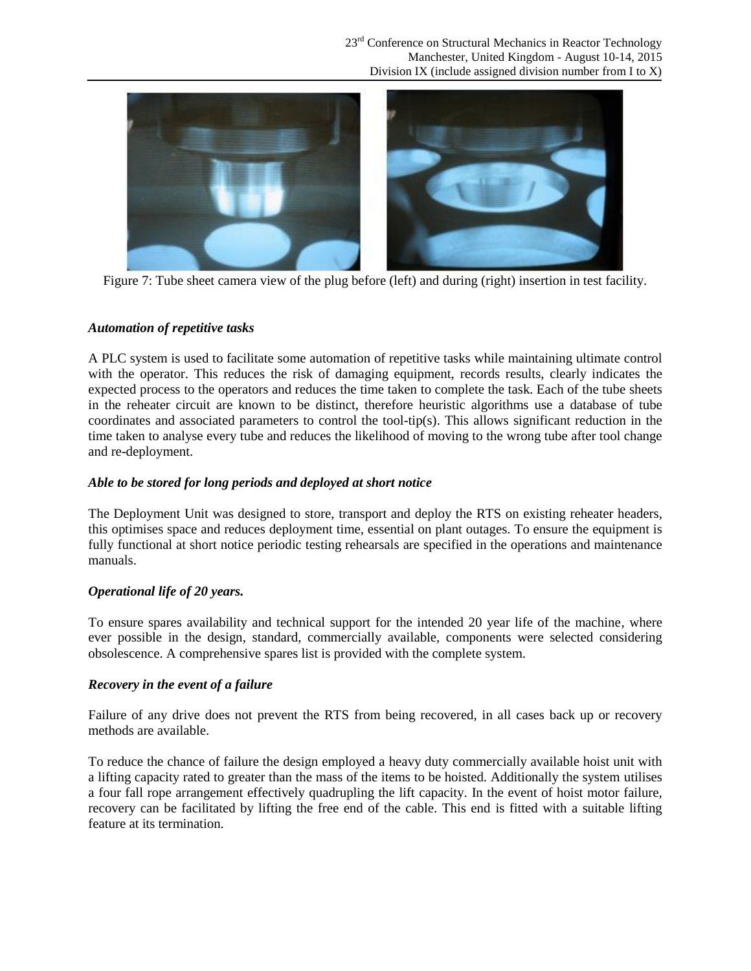

Figure 7: Tube sheet camera view of the plug before (left) and during (right) insertion in test facility.

# <span id="page-6-0"></span>*Automation of repetitive tasks*

A PLC system is used to facilitate some automation of repetitive tasks while maintaining ultimate control with the operator. This reduces the risk of damaging equipment, records results, clearly indicates the expected process to the operators and reduces the time taken to complete the task. Each of the tube sheets in the reheater circuit are known to be distinct, therefore heuristic algorithms use a database of tube coordinates and associated parameters to control the tool-tip(s). This allows significant reduction in the time taken to analyse every tube and reduces the likelihood of moving to the wrong tube after tool change and re-deployment.

## *Able to be stored for long periods and deployed at short notice*

The Deployment Unit was designed to store, transport and deploy the RTS on existing reheater headers, this optimises space and reduces deployment time, essential on plant outages. To ensure the equipment is fully functional at short notice periodic testing rehearsals are specified in the operations and maintenance manuals.

# *Operational life of 20 years.*

To ensure spares availability and technical support for the intended 20 year life of the machine, where ever possible in the design, standard, commercially available, components were selected considering obsolescence. A comprehensive spares list is provided with the complete system.

# *Recovery in the event of a failure*

Failure of any drive does not prevent the RTS from being recovered, in all cases back up or recovery methods are available.

To reduce the chance of failure the design employed a heavy duty commercially available hoist unit with a lifting capacity rated to greater than the mass of the items to be hoisted. Additionally the system utilises a four fall rope arrangement effectively quadrupling the lift capacity. In the event of hoist motor failure, recovery can be facilitated by lifting the free end of the cable. This end is fitted with a suitable lifting feature at its termination.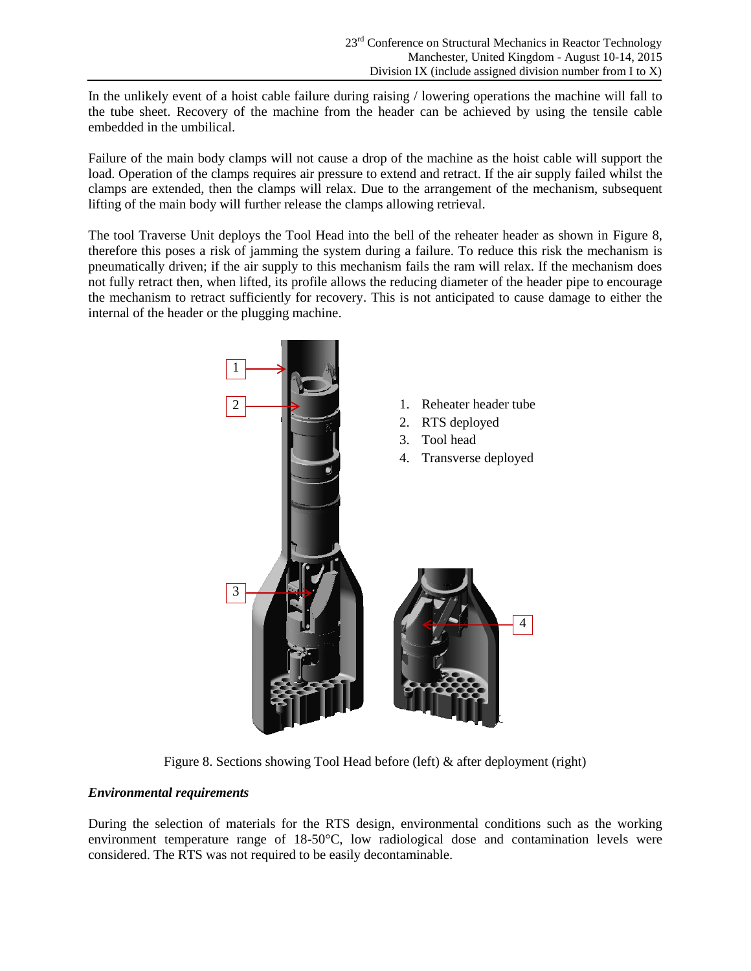In the unlikely event of a hoist cable failure during raising / lowering operations the machine will fall to the tube sheet. Recovery of the machine from the header can be achieved by using the tensile cable embedded in the umbilical.

Failure of the main body clamps will not cause a drop of the machine as the hoist cable will support the load. Operation of the clamps requires air pressure to extend and retract. If the air supply failed whilst the clamps are extended, then the clamps will relax. Due to the arrangement of the mechanism, subsequent lifting of the main body will further release the clamps allowing retrieval.

The tool Traverse Unit deploys the Tool Head into the bell of the reheater header as shown in [Figure 8,](#page-7-0) therefore this poses a risk of jamming the system during a failure. To reduce this risk the mechanism is pneumatically driven; if the air supply to this mechanism fails the ram will relax. If the mechanism does not fully retract then, when lifted, its profile allows the reducing diameter of the header pipe to encourage the mechanism to retract sufficiently for recovery. This is not anticipated to cause damage to either the internal of the header or the plugging machine.



Figure 8. Sections showing Tool Head before (left) & after deployment (right)

# <span id="page-7-0"></span>*Environmental requirements*

During the selection of materials for the RTS design, environmental conditions such as the working environment temperature range of 18-50°C, low radiological dose and contamination levels were considered. The RTS was not required to be easily decontaminable.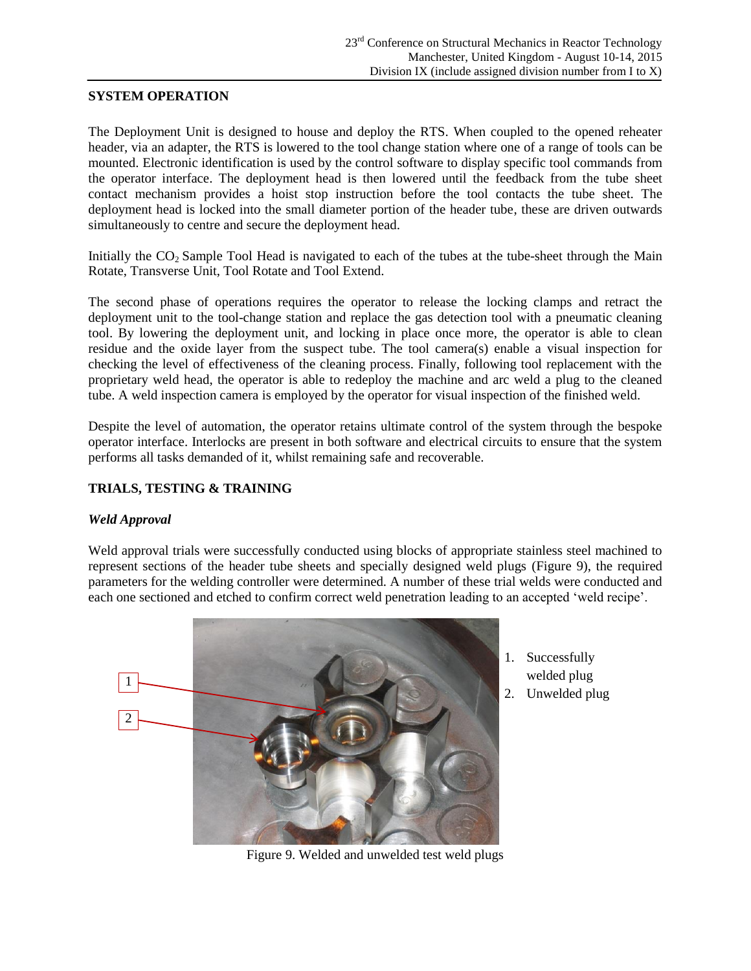## **SYSTEM OPERATION**

The Deployment Unit is designed to house and deploy the RTS. When coupled to the opened reheater header, via an adapter, the RTS is lowered to the tool change station where one of a range of tools can be mounted. Electronic identification is used by the control software to display specific tool commands from the operator interface. The deployment head is then lowered until the feedback from the tube sheet contact mechanism provides a hoist stop instruction before the tool contacts the tube sheet. The deployment head is locked into the small diameter portion of the header tube, these are driven outwards simultaneously to centre and secure the deployment head.

Initially the  $CO<sub>2</sub>$  Sample Tool Head is navigated to each of the tubes at the tube-sheet through the Main Rotate, Transverse Unit, Tool Rotate and Tool Extend.

The second phase of operations requires the operator to release the locking clamps and retract the deployment unit to the tool-change station and replace the gas detection tool with a pneumatic cleaning tool. By lowering the deployment unit, and locking in place once more, the operator is able to clean residue and the oxide layer from the suspect tube. The tool camera(s) enable a visual inspection for checking the level of effectiveness of the cleaning process. Finally, following tool replacement with the proprietary weld head, the operator is able to redeploy the machine and arc weld a plug to the cleaned tube. A weld inspection camera is employed by the operator for visual inspection of the finished weld.

Despite the level of automation, the operator retains ultimate control of the system through the bespoke operator interface. Interlocks are present in both software and electrical circuits to ensure that the system performs all tasks demanded of it, whilst remaining safe and recoverable.

## **TRIALS, TESTING & TRAINING**

## *Weld Approval*

Weld approval trials were successfully conducted using blocks of appropriate stainless steel machined to represent sections of the header tube sheets and specially designed weld plugs [\(Figure 9\)](#page-8-0), the required parameters for the welding controller were determined. A number of these trial welds were conducted and each one sectioned and etched to confirm correct weld penetration leading to an accepted 'weld recipe'.



1. Successfully welded plug

2. Unwelded plug

<span id="page-8-0"></span>Figure 9. Welded and unwelded test weld plugs